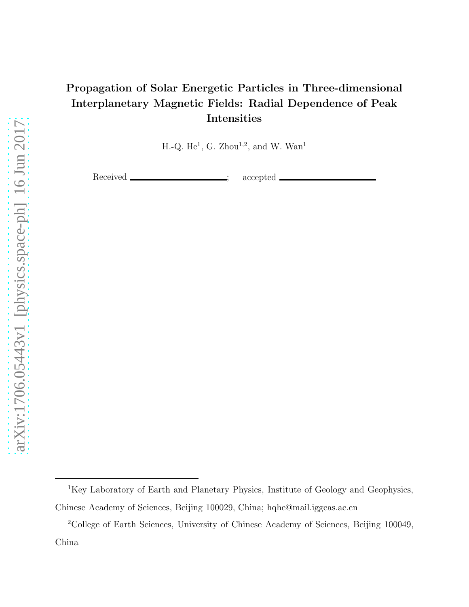# Propagation of Solar Energetic Particles in Three-dimensional Interplanetary Magnetic Fields: Radial Dependence of Peak Intensities

H.-Q. He<sup>1</sup>, G. Zhou<sup>1,2</sup>, and W. Wan<sup>1</sup>

Received <u>\_\_\_\_\_\_\_\_\_\_\_\_\_\_\_\_\_\_;</u> accepted .

<sup>&</sup>lt;sup>1</sup>Key Laboratory of Earth and Planetary Physics, Institute of Geology and Geophysics, Chinese Academy of Sciences, Beijing 100029, China; hqhe@mail.iggcas.ac.cn

<sup>2</sup>College of Earth Sciences, University of Chinese Academy of Sciences, Beijing 100049, China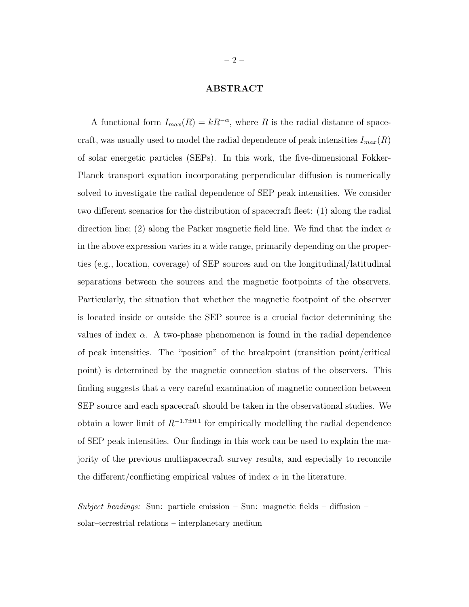## ABSTRACT

A functional form  $I_{max}(R) = kR^{-\alpha}$ , where R is the radial distance of spacecraft, was usually used to model the radial dependence of peak intensities  $I_{max}(R)$ of solar energetic particles (SEPs). In this work, the five-dimensional Fokker-Planck transport equation incorporating perpendicular diffusion is numerically solved to investigate the radial dependence of SEP peak intensities. We consider two different scenarios for the distribution of spacecraft fleet: (1) along the radial direction line; (2) along the Parker magnetic field line. We find that the index  $\alpha$ in the above expression varies in a wide range, primarily depending on the properties (e.g., location, coverage) of SEP sources and on the longitudinal/latitudinal separations between the sources and the magnetic footpoints of the observers. Particularly, the situation that whether the magnetic footpoint of the observer is located inside or outside the SEP source is a crucial factor determining the values of index  $\alpha$ . A two-phase phenomenon is found in the radial dependence of peak intensities. The "position" of the breakpoint (transition point/critical point) is determined by the magnetic connection status of the observers. This finding suggests that a very careful examination of magnetic connection between SEP source and each spacecraft should be taken in the observational studies. We obtain a lower limit of  $R^{-1.7 \pm 0.1}$  for empirically modelling the radial dependence of SEP peak intensities. Our findings in this work can be used to explain the majority of the previous multispacecraft survey results, and especially to reconcile the different/conflicting empirical values of index  $\alpha$  in the literature.

Subject headings: Sun: particle emission – Sun: magnetic fields – diffusion – solar–terrestrial relations – interplanetary medium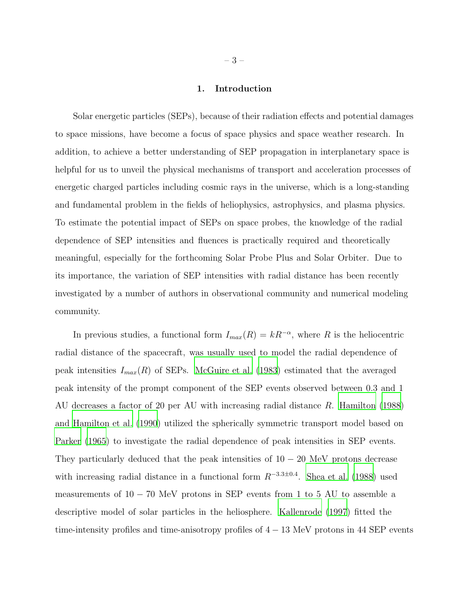### 1. Introduction

Solar energetic particles (SEPs), because of their radiation effects and potential damages to space missions, have become a focus of space physics and space weather research. In addition, to achieve a better understanding of SEP propagation in interplanetary space is helpful for us to unveil the physical mechanisms of transport and acceleration processes of energetic charged particles including cosmic rays in the universe, which is a long-standing and fundamental problem in the fields of heliophysics, astrophysics, and plasma physics. To estimate the potential impact of SEPs on space probes, the knowledge of the radial dependence of SEP intensities and fluences is practically required and theoretically meaningful, especially for the forthcoming Solar Probe Plus and Solar Orbiter. Due to its importance, the variation of SEP intensities with radial distance has been recently investigated by a number of authors in observational community and numerical modeling community.

In previous studies, a functional form  $I_{max}(R) = kR^{-\alpha}$ , where R is the heliocentric radial distance of the spacecraft, was usually used to model the radial dependence of peak intensities  $I_{max}(R)$  of SEPs. [McGuire et al. \(1983](#page-19-0)) estimated that the averaged peak intensity of the prompt component of the SEP events observed between 0.3 and 1 AU decreases a factor of 20 per AU with increasing radial distance R. [Hamilton \(1988](#page-18-0)) and [Hamilton et al. \(1990\)](#page-18-1) utilized the spherically symmetric transport model based on [Parker \(1965\)](#page-19-1) to investigate the radial dependence of peak intensities in SEP events. They particularly deduced that the peak intensities of  $10 - 20$  MeV protons decrease with increasing radial distance in a functional form  $R^{-3.3\pm0.4}$ . [Shea et al. \(1988](#page-19-2)) used measurements of  $10 - 70$  MeV protons in SEP events from 1 to 5 AU to assemble a descriptive model of solar particles in the heliosphere. [Kallenrode \(1997](#page-18-2)) fitted the time-intensity profiles and time-anisotropy profiles of  $4 - 13$  MeV protons in 44 SEP events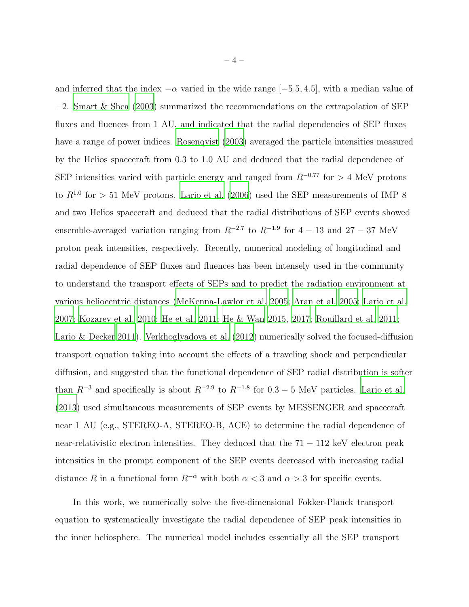and inferred that the index  $-\alpha$  varied in the wide range [-5.5, 4.5], with a median value of −2. [Smart & Shea \(2003\)](#page-19-3) summarized the recommendations on the extrapolation of SEP fluxes and fluences from 1 AU, and indicated that the radial dependencies of SEP fluxes have a range of power indices. [Rosenqvist \(2003\)](#page-19-4) averaged the particle intensities measured by the Helios spacecraft from 0.3 to 1.0 AU and deduced that the radial dependence of SEP intensities varied with particle energy and ranged from  $R^{-0.77}$  for > 4 MeV protons to  $R^{1.0}$  for  $> 51$  MeV protons. [Lario et al. \(2006\)](#page-18-3) used the SEP measurements of IMP 8 and two Helios spacecraft and deduced that the radial distributions of SEP events showed ensemble-averaged variation ranging from  $R^{-2.7}$  to  $R^{-1.9}$  for  $4-13$  and  $27-37$  MeV proton peak intensities, respectively. Recently, numerical modeling of longitudinal and radial dependence of SEP fluxes and fluences has been intensely used in the community to understand the transport effects of SEPs and to predict the radiation environment at various heliocentric distances [\(McKenna-Lawlor et al. 2005;](#page-19-5) [Aran et al. 2005;](#page-18-4) [Lario et al.](#page-18-5) [2007;](#page-18-5) [Kozarev et al. 2010](#page-18-6); [He et al. 2011](#page-18-7); [He & Wan 2015,](#page-18-8) [2017;](#page-18-9) [Rouillard et al. 2011](#page-19-6); [Lario & Decker 2011\)](#page-18-10). [Verkhoglyadova et al. \(2012](#page-19-7)) numerically solved the focused-diffusion transport equation taking into account the effects of a traveling shock and perpendicular diffusion, and suggested that the functional dependence of SEP radial distribution is softer than  $R^{-3}$  and specifically is about  $R^{-2.9}$  to  $R^{-1.8}$  for  $0.3-5$  MeV particles. [Lario et al.](#page-18-11) [\(2013\)](#page-18-11) used simultaneous measurements of SEP events by MESSENGER and spacecraft near 1 AU (e.g., STEREO-A, STEREO-B, ACE) to determine the radial dependence of near-relativistic electron intensities. They deduced that the  $71 - 112$  keV electron peak intensities in the prompt component of the SEP events decreased with increasing radial distance R in a functional form  $R^{-\alpha}$  with both  $\alpha < 3$  and  $\alpha > 3$  for specific events.

In this work, we numerically solve the five-dimensional Fokker-Planck transport equation to systematically investigate the radial dependence of SEP peak intensities in the inner heliosphere. The numerical model includes essentially all the SEP transport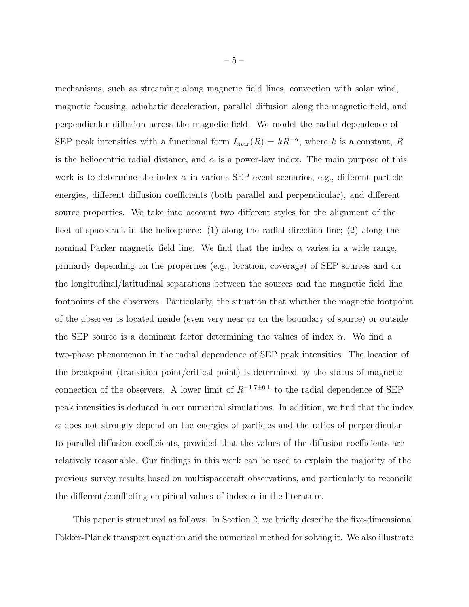mechanisms, such as streaming along magnetic field lines, convection with solar wind, magnetic focusing, adiabatic deceleration, parallel diffusion along the magnetic field, and perpendicular diffusion across the magnetic field. We model the radial dependence of SEP peak intensities with a functional form  $I_{max}(R) = kR^{-\alpha}$ , where k is a constant, R is the heliocentric radial distance, and  $\alpha$  is a power-law index. The main purpose of this work is to determine the index  $\alpha$  in various SEP event scenarios, e.g., different particle energies, different diffusion coefficients (both parallel and perpendicular), and different source properties. We take into account two different styles for the alignment of the fleet of spacecraft in the heliosphere: (1) along the radial direction line; (2) along the nominal Parker magnetic field line. We find that the index  $\alpha$  varies in a wide range, primarily depending on the properties (e.g., location, coverage) of SEP sources and on the longitudinal/latitudinal separations between the sources and the magnetic field line footpoints of the observers. Particularly, the situation that whether the magnetic footpoint of the observer is located inside (even very near or on the boundary of source) or outside the SEP source is a dominant factor determining the values of index  $\alpha$ . We find a two-phase phenomenon in the radial dependence of SEP peak intensities. The location of the breakpoint (transition point/critical point) is determined by the status of magnetic connection of the observers. A lower limit of  $R^{-1.7\pm0.1}$  to the radial dependence of SEP peak intensities is deduced in our numerical simulations. In addition, we find that the index  $\alpha$  does not strongly depend on the energies of particles and the ratios of perpendicular to parallel diffusion coefficients, provided that the values of the diffusion coefficients are relatively reasonable. Our findings in this work can be used to explain the majority of the previous survey results based on multispacecraft observations, and particularly to reconcile the different/conflicting empirical values of index  $\alpha$  in the literature.

This paper is structured as follows. In Section 2, we briefly describe the five-dimensional Fokker-Planck transport equation and the numerical method for solving it. We also illustrate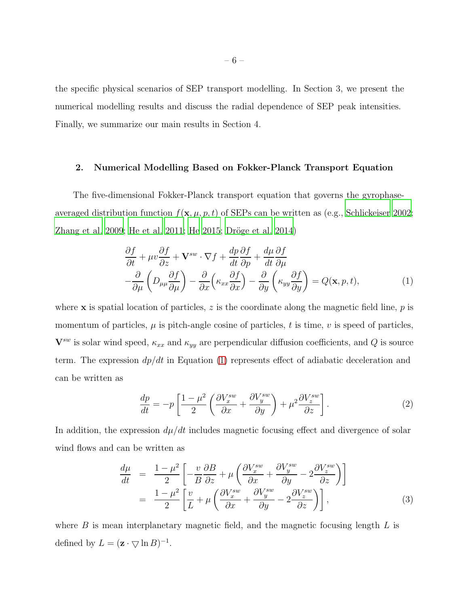the specific physical scenarios of SEP transport modelling. In Section 3, we present the numerical modelling results and discuss the radial dependence of SEP peak intensities. Finally, we summarize our main results in Section 4.

### 2. Numerical Modelling Based on Fokker-Planck Transport Equation

The five-dimensional Fokker-Planck transport equation that governs the gyrophaseaveraged distribution function  $f(\mathbf{x}, \mu, p, t)$  of SEPs can be written as (e.g., [Schlickeiser 2002;](#page-19-8) [Zhang et al. 2009](#page-19-9); [He et al. 2011;](#page-18-7) [He 2015;](#page-18-12) Dröge et al. 2014)

<span id="page-5-0"></span>
$$
\frac{\partial f}{\partial t} + \mu v \frac{\partial f}{\partial z} + \mathbf{V}^{sw} \cdot \nabla f + \frac{dp}{dt} \frac{\partial f}{\partial p} + \frac{d\mu}{dt} \frac{\partial f}{\partial \mu} \n- \frac{\partial}{\partial \mu} \left( D_{\mu\mu} \frac{\partial f}{\partial \mu} \right) - \frac{\partial}{\partial x} \left( \kappa_{xx} \frac{\partial f}{\partial x} \right) - \frac{\partial}{\partial y} \left( \kappa_{yy} \frac{\partial f}{\partial y} \right) = Q(\mathbf{x}, p, t),
$$
\n(1)

where  $\bf{x}$  is spatial location of particles, z is the coordinate along the magnetic field line, p is momentum of particles,  $\mu$  is pitch-angle cosine of particles, t is time, v is speed of particles,  $\mathbf{V}^{sw}$  is solar wind speed,  $\kappa_{xx}$  and  $\kappa_{yy}$  are perpendicular diffusion coefficients, and Q is source term. The expression  $dp/dt$  in Equation [\(1\)](#page-5-0) represents effect of adiabatic deceleration and can be written as

$$
\frac{dp}{dt} = -p \left[ \frac{1 - \mu^2}{2} \left( \frac{\partial V_x^{sw}}{\partial x} + \frac{\partial V_y^{sw}}{\partial y} \right) + \mu^2 \frac{\partial V_z^{sw}}{\partial z} \right].
$$
\n(2)

In addition, the expression  $d\mu/dt$  includes magnetic focusing effect and divergence of solar wind flows and can be written as

$$
\frac{d\mu}{dt} = \frac{1-\mu^2}{2} \left[ -\frac{v}{B} \frac{\partial B}{\partial z} + \mu \left( \frac{\partial V_x^{sw}}{\partial x} + \frac{\partial V_y^{sw}}{\partial y} - 2 \frac{\partial V_z^{sw}}{\partial z} \right) \right] \n= \frac{1-\mu^2}{2} \left[ \frac{v}{L} + \mu \left( \frac{\partial V_x^{sw}}{\partial x} + \frac{\partial V_y^{sw}}{\partial y} - 2 \frac{\partial V_z^{sw}}{\partial z} \right) \right],
$$
\n(3)

where  $B$  is mean interplanetary magnetic field, and the magnetic focusing length  $L$  is defined by  $L = (\mathbf{z} \cdot \nabla \ln B)^{-1}$ .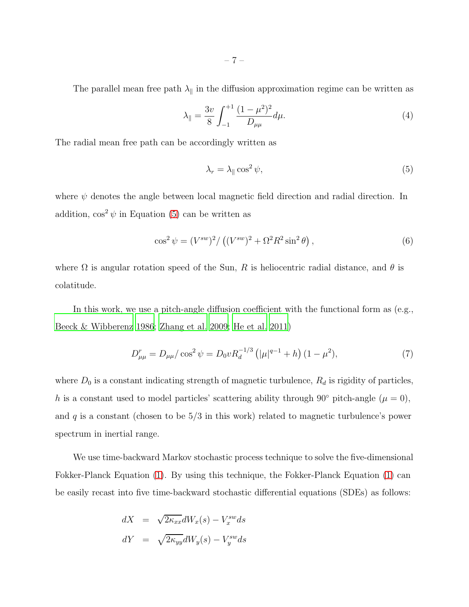The parallel mean free path  $\lambda_{\parallel}$  in the diffusion approximation regime can be written as

$$
\lambda_{\parallel} = \frac{3v}{8} \int_{-1}^{+1} \frac{(1 - \mu^2)^2}{D_{\mu\mu}} d\mu. \tag{4}
$$

The radial mean free path can be accordingly written as

<span id="page-6-0"></span>
$$
\lambda_r = \lambda_{\parallel} \cos^2 \psi,\tag{5}
$$

where  $\psi$  denotes the angle between local magnetic field direction and radial direction. In addition,  $\cos^2 \psi$  in Equation [\(5\)](#page-6-0) can be written as

$$
\cos^2 \psi = (V^{sw})^2 / ((V^{sw})^2 + \Omega^2 R^2 \sin^2 \theta), \qquad (6)
$$

where  $\Omega$  is angular rotation speed of the Sun, R is heliocentric radial distance, and  $\theta$  is colatitude.

In this work, we use a pitch-angle diffusion coefficient with the functional form as (e.g., [Beeck & Wibberenz 1986](#page-18-14); [Zhang et al. 2009;](#page-19-9) [He et al. 2011\)](#page-18-7)

$$
D_{\mu\mu}^r = D_{\mu\mu}/\cos^2\psi = D_0 v R_d^{-1/3} \left( |\mu|^{q-1} + h \right) (1 - \mu^2),\tag{7}
$$

where  $D_0$  is a constant indicating strength of magnetic turbulence,  $R_d$  is rigidity of particles, h is a constant used to model particles' scattering ability through 90 $^{\circ}$  pitch-angle ( $\mu = 0$ ), and  $q$  is a constant (chosen to be  $5/3$  in this work) related to magnetic turbulence's power spectrum in inertial range.

We use time-backward Markov stochastic process technique to solve the five-dimensional Fokker-Planck Equation [\(1\)](#page-5-0). By using this technique, the Fokker-Planck Equation [\(1\)](#page-5-0) can be easily recast into five time-backward stochastic differential equations (SDEs) as follows:

<span id="page-6-1"></span>
$$
dX = \sqrt{2\kappa_{xx}}dW_x(s) - V_x^{sw}ds
$$
  

$$
dY = \sqrt{2\kappa_{yy}}dW_y(s) - V_y^{sw}ds
$$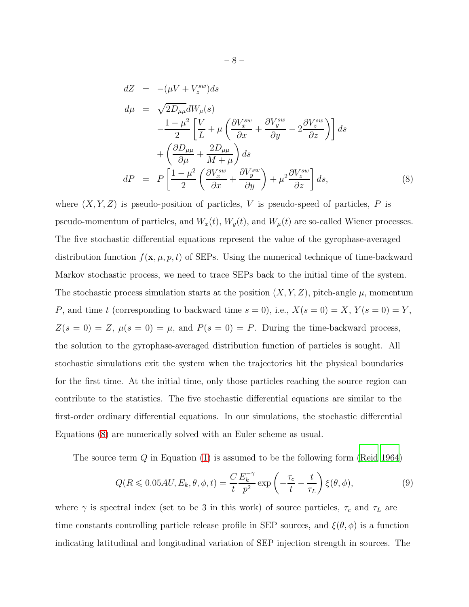$$
dZ = -(\mu V + V_z^{sw})ds
$$
  
\n
$$
d\mu = \sqrt{2D_{\mu\mu}}dW_{\mu}(s)
$$
  
\n
$$
-\frac{1-\mu^2}{2}\left[\frac{V}{L} + \mu\left(\frac{\partial V_x^{sw}}{\partial x} + \frac{\partial V_y^{sw}}{\partial y} - 2\frac{\partial V_z^{sw}}{\partial z}\right)\right]ds
$$
  
\n
$$
+\left(\frac{\partial D_{\mu\mu}}{\partial \mu} + \frac{2D_{\mu\mu}}{M+\mu}\right)ds
$$
  
\n
$$
dP = P\left[\frac{1-\mu^2}{2}\left(\frac{\partial V_x^{sw}}{\partial x} + \frac{\partial V_y^{sw}}{\partial y}\right) + \mu^2\frac{\partial V_z^{sw}}{\partial z}\right]ds,
$$
\n(8)

where  $(X, Y, Z)$  is pseudo-position of particles, V is pseudo-speed of particles, P is pseudo-momentum of particles, and  $W_x(t)$ ,  $W_y(t)$ , and  $W_\mu(t)$  are so-called Wiener processes. The five stochastic differential equations represent the value of the gyrophase-averaged distribution function  $f(\mathbf{x}, \mu, p, t)$  of SEPs. Using the numerical technique of time-backward Markov stochastic process, we need to trace SEPs back to the initial time of the system. The stochastic process simulation starts at the position  $(X, Y, Z)$ , pitch-angle  $\mu$ , momentum P, and time t (corresponding to backward time  $s = 0$ ), i.e.,  $X(s = 0) = X$ ,  $Y(s = 0) = Y$ ,  $Z(s = 0) = Z$ ,  $\mu(s = 0) = \mu$ , and  $P(s = 0) = P$ . During the time-backward process, the solution to the gyrophase-averaged distribution function of particles is sought. All stochastic simulations exit the system when the trajectories hit the physical boundaries for the first time. At the initial time, only those particles reaching the source region can contribute to the statistics. The five stochastic differential equations are similar to the first-order ordinary differential equations. In our simulations, the stochastic differential Equations [\(8\)](#page-6-1) are numerically solved with an Euler scheme as usual.

The source term  $Q$  in Equation [\(1\)](#page-5-0) is assumed to be the following form [\(Reid 1964](#page-19-10))

<span id="page-7-0"></span>
$$
Q(R \leqslant 0.05AU, E_k, \theta, \phi, t) = \frac{C E_k^{-\gamma}}{t p^2} \exp\left(-\frac{\tau_c}{t} - \frac{t}{\tau_L}\right) \xi(\theta, \phi),\tag{9}
$$

where  $\gamma$  is spectral index (set to be 3 in this work) of source particles,  $\tau_c$  and  $\tau_L$  are time constants controlling particle release profile in SEP sources, and  $\xi(\theta, \phi)$  is a function indicating latitudinal and longitudinal variation of SEP injection strength in sources. The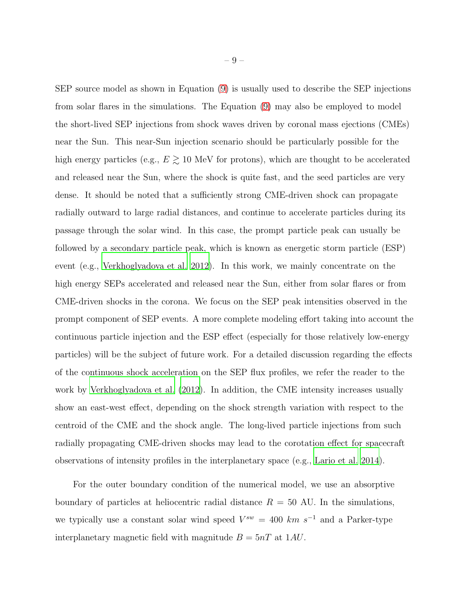SEP source model as shown in Equation [\(9\)](#page-7-0) is usually used to describe the SEP injections from solar flares in the simulations. The Equation [\(9\)](#page-7-0) may also be employed to model the short-lived SEP injections from shock waves driven by coronal mass ejections (CMEs) near the Sun. This near-Sun injection scenario should be particularly possible for the high energy particles (e.g.,  $E \gtrsim 10$  MeV for protons), which are thought to be accelerated and released near the Sun, where the shock is quite fast, and the seed particles are very dense. It should be noted that a sufficiently strong CME-driven shock can propagate radially outward to large radial distances, and continue to accelerate particles during its passage through the solar wind. In this case, the prompt particle peak can usually be followed by a secondary particle peak, which is known as energetic storm particle (ESP) event (e.g., [Verkhoglyadova et al. 2012\)](#page-19-7). In this work, we mainly concentrate on the high energy SEPs accelerated and released near the Sun, either from solar flares or from CME-driven shocks in the corona. We focus on the SEP peak intensities observed in the prompt component of SEP events. A more complete modeling effort taking into account the continuous particle injection and the ESP effect (especially for those relatively low-energy particles) will be the subject of future work. For a detailed discussion regarding the effects of the continuous shock acceleration on the SEP flux profiles, we refer the reader to the work by [Verkhoglyadova et al. \(2012\)](#page-19-7). In addition, the CME intensity increases usually show an east-west effect, depending on the shock strength variation with respect to the centroid of the CME and the shock angle. The long-lived particle injections from such radially propagating CME-driven shocks may lead to the corotation effect for spacecraft observations of intensity profiles in the interplanetary space (e.g., [Lario et al. 2014\)](#page-18-15).

For the outer boundary condition of the numerical model, we use an absorptive boundary of particles at heliocentric radial distance  $R = 50$  AU. In the simulations, we typically use a constant solar wind speed  $V^{sw} = 400 \; km \; s^{-1}$  and a Parker-type interplanetary magnetic field with magnitude  $B = 5nT$  at 1AU.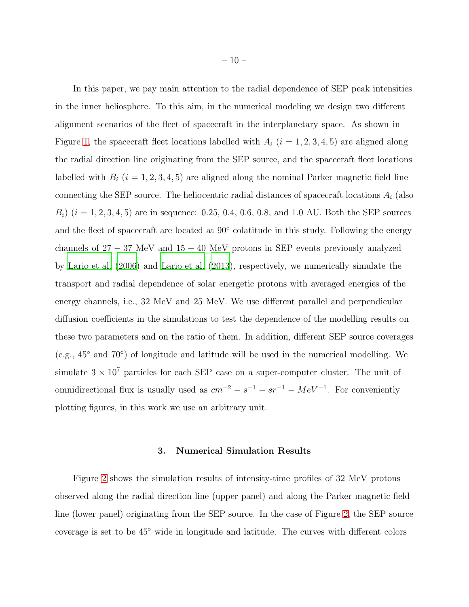In this paper, we pay main attention to the radial dependence of SEP peak intensities in the inner heliosphere. To this aim, in the numerical modeling we design two different alignment scenarios of the fleet of spacecraft in the interplanetary space. As shown in Figure [1,](#page-20-0) the spacecraft fleet locations labelled with  $A_i$   $(i = 1, 2, 3, 4, 5)$  are aligned along the radial direction line originating from the SEP source, and the spacecraft fleet locations labelled with  $B_i$  ( $i = 1, 2, 3, 4, 5$ ) are aligned along the nominal Parker magnetic field line connecting the SEP source. The heliocentric radial distances of spacecraft locations  $A_i$  (also  $B_i$ )  $(i = 1, 2, 3, 4, 5)$  are in sequence: 0.25, 0.4, 0.6, 0.8, and 1.0 AU. Both the SEP sources and the fleet of spacecraft are located at  $90^{\circ}$  colatitude in this study. Following the energy channels of  $27 - 37$  MeV and  $15 - 40$  MeV protons in SEP events previously analyzed by [Lario et al. \(2006](#page-18-3)) and [Lario et al. \(2013\)](#page-18-11), respectively, we numerically simulate the transport and radial dependence of solar energetic protons with averaged energies of the energy channels, i.e., 32 MeV and 25 MeV. We use different parallel and perpendicular diffusion coefficients in the simulations to test the dependence of the modelling results on these two parameters and on the ratio of them. In addition, different SEP source coverages (e.g., 45◦ and 70◦ ) of longitude and latitude will be used in the numerical modelling. We simulate  $3 \times 10^7$  particles for each SEP case on a super-computer cluster. The unit of omnidirectional flux is usually used as  $cm^{-2} - s^{-1} - sr^{-1} - MeV^{-1}$ . For conveniently plotting figures, in this work we use an arbitrary unit.

#### 3. Numerical Simulation Results

Figure [2](#page-21-0) shows the simulation results of intensity-time profiles of 32 MeV protons observed along the radial direction line (upper panel) and along the Parker magnetic field line (lower panel) originating from the SEP source. In the case of Figure [2,](#page-21-0) the SEP source coverage is set to be 45◦ wide in longitude and latitude. The curves with different colors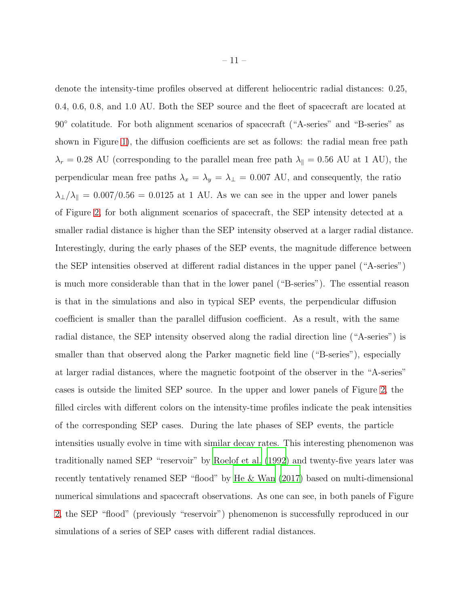denote the intensity-time profiles observed at different heliocentric radial distances: 0.25, 0.4, 0.6, 0.8, and 1.0 AU. Both the SEP source and the fleet of spacecraft are located at 90◦ colatitude. For both alignment scenarios of spacecraft ("A-series" and "B-series" as shown in Figure [1\)](#page-20-0), the diffusion coefficients are set as follows: the radial mean free path  $\lambda_r = 0.28$  AU (corresponding to the parallel mean free path  $\lambda_{\parallel} = 0.56$  AU at 1 AU), the perpendicular mean free paths  $\lambda_x = \lambda_y = \lambda_\perp = 0.007$  AU, and consequently, the ratio  $\lambda_{\perp}/\lambda_{\parallel}$  = 0.007/0.56 = 0.0125 at 1 AU. As we can see in the upper and lower panels of Figure [2,](#page-21-0) for both alignment scenarios of spacecraft, the SEP intensity detected at a smaller radial distance is higher than the SEP intensity observed at a larger radial distance. Interestingly, during the early phases of the SEP events, the magnitude difference between the SEP intensities observed at different radial distances in the upper panel ("A-series") is much more considerable than that in the lower panel ("B-series"). The essential reason is that in the simulations and also in typical SEP events, the perpendicular diffusion coefficient is smaller than the parallel diffusion coefficient. As a result, with the same radial distance, the SEP intensity observed along the radial direction line ("A-series") is smaller than that observed along the Parker magnetic field line ("B-series"), especially at larger radial distances, where the magnetic footpoint of the observer in the "A-series" cases is outside the limited SEP source. In the upper and lower panels of Figure [2,](#page-21-0) the filled circles with different colors on the intensity-time profiles indicate the peak intensities of the corresponding SEP cases. During the late phases of SEP events, the particle intensities usually evolve in time with similar decay rates. This interesting phenomenon was traditionally named SEP "reservoir" by [Roelof et al. \(1992](#page-19-11)) and twenty-five years later was recently tentatively renamed SEP "flood" by [He & Wan \(2017\)](#page-18-9) based on multi-dimensional numerical simulations and spacecraft observations. As one can see, in both panels of Figure [2,](#page-21-0) the SEP "flood" (previously "reservoir") phenomenon is successfully reproduced in our simulations of a series of SEP cases with different radial distances.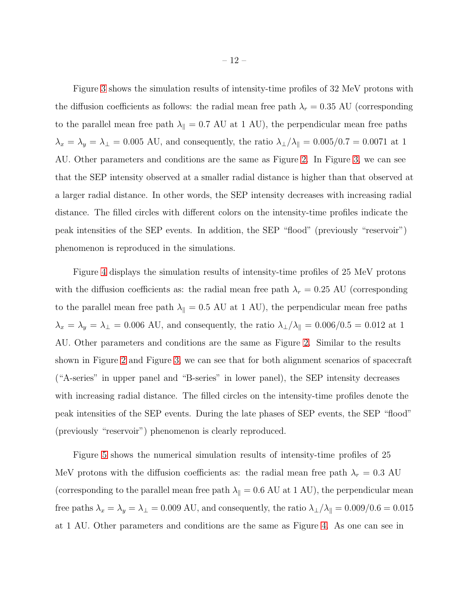Figure [3](#page-22-0) shows the simulation results of intensity-time profiles of 32 MeV protons with the diffusion coefficients as follows: the radial mean free path  $\lambda_r = 0.35$  AU (corresponding to the parallel mean free path  $\lambda_{\parallel} = 0.7$  AU at 1 AU), the perpendicular mean free paths  $\lambda_x = \lambda_y = \lambda_\perp = 0.005$  AU, and consequently, the ratio  $\lambda_\perp/\lambda_\parallel = 0.005/0.7 = 0.0071$  at 1 AU. Other parameters and conditions are the same as Figure [2.](#page-21-0) In Figure [3,](#page-22-0) we can see that the SEP intensity observed at a smaller radial distance is higher than that observed at a larger radial distance. In other words, the SEP intensity decreases with increasing radial distance. The filled circles with different colors on the intensity-time profiles indicate the peak intensities of the SEP events. In addition, the SEP "flood" (previously "reservoir") phenomenon is reproduced in the simulations.

Figure [4](#page-23-0) displays the simulation results of intensity-time profiles of 25 MeV protons with the diffusion coefficients as: the radial mean free path  $\lambda_r = 0.25$  AU (corresponding to the parallel mean free path  $\lambda_{\parallel} = 0.5$  AU at 1 AU), the perpendicular mean free paths  $\lambda_x = \lambda_y = \lambda_\perp = 0.006$  AU, and consequently, the ratio  $\lambda_\perp/\lambda_\parallel = 0.006/0.5 = 0.012$  at 1 AU. Other parameters and conditions are the same as Figure [2.](#page-21-0) Similar to the results shown in Figure [2](#page-21-0) and Figure [3,](#page-22-0) we can see that for both alignment scenarios of spacecraft ("A-series" in upper panel and "B-series" in lower panel), the SEP intensity decreases with increasing radial distance. The filled circles on the intensity-time profiles denote the peak intensities of the SEP events. During the late phases of SEP events, the SEP "flood" (previously "reservoir") phenomenon is clearly reproduced.

Figure [5](#page-24-0) shows the numerical simulation results of intensity-time profiles of 25 MeV protons with the diffusion coefficients as: the radial mean free path  $\lambda_r = 0.3$  AU (corresponding to the parallel mean free path  $\lambda_{\parallel} = 0.6$  AU at 1 AU), the perpendicular mean free paths  $\lambda_x = \lambda_y = \lambda_\perp = 0.009$  AU, and consequently, the ratio  $\lambda_\perp/\lambda_\parallel = 0.009/0.6 = 0.015$ at 1 AU. Other parameters and conditions are the same as Figure [4.](#page-23-0) As one can see in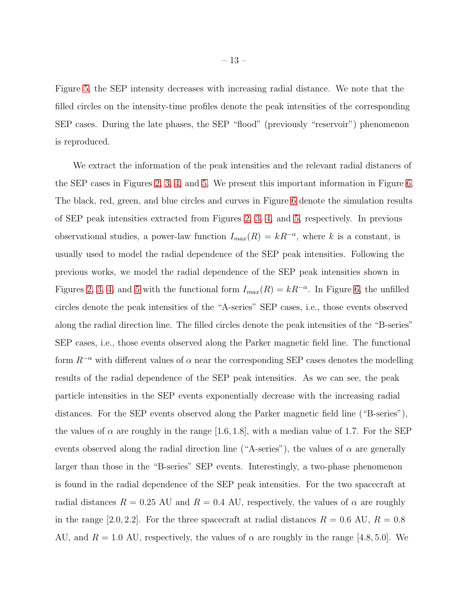Figure [5,](#page-24-0) the SEP intensity decreases with increasing radial distance. We note that the filled circles on the intensity-time profiles denote the peak intensities of the corresponding SEP cases. During the late phases, the SEP "flood" (previously "reservoir") phenomenon is reproduced.

We extract the information of the peak intensities and the relevant radial distances of the SEP cases in Figures [2,](#page-21-0) [3,](#page-22-0) [4,](#page-23-0) and [5.](#page-24-0) We present this important information in Figure [6.](#page-25-0) The black, red, green, and blue circles and curves in Figure [6](#page-25-0) denote the simulation results of SEP peak intensities extracted from Figures [2,](#page-21-0) [3,](#page-22-0) [4,](#page-23-0) and [5,](#page-24-0) respectively. In previous observational studies, a power-law function  $I_{max}(R) = kR^{-\alpha}$ , where k is a constant, is usually used to model the radial dependence of the SEP peak intensities. Following the previous works, we model the radial dependence of the SEP peak intensities shown in Figures [2,](#page-21-0) [3,](#page-22-0) [4,](#page-23-0) and [5](#page-24-0) with the functional form  $I_{max}(R) = kR^{-\alpha}$ . In Figure [6,](#page-25-0) the unfilled circles denote the peak intensities of the "A-series" SEP cases, i.e., those events observed along the radial direction line. The filled circles denote the peak intensities of the "B-series" SEP cases, i.e., those events observed along the Parker magnetic field line. The functional form  $R^{-\alpha}$  with different values of  $\alpha$  near the corresponding SEP cases denotes the modelling results of the radial dependence of the SEP peak intensities. As we can see, the peak particle intensities in the SEP events exponentially decrease with the increasing radial distances. For the SEP events observed along the Parker magnetic field line ("B-series"), the values of  $\alpha$  are roughly in the range [1.6, 1.8], with a median value of 1.7. For the SEP events observed along the radial direction line ("A-series"), the values of  $\alpha$  are generally larger than those in the "B-series" SEP events. Interestingly, a two-phase phenomenon is found in the radial dependence of the SEP peak intensities. For the two spacecraft at radial distances  $R = 0.25$  AU and  $R = 0.4$  AU, respectively, the values of  $\alpha$  are roughly in the range [2.0, 2.2]. For the three spacecraft at radial distances  $R = 0.6$  AU,  $R = 0.8$ AU, and  $R = 1.0$  AU, respectively, the values of  $\alpha$  are roughly in the range [4.8, 5.0]. We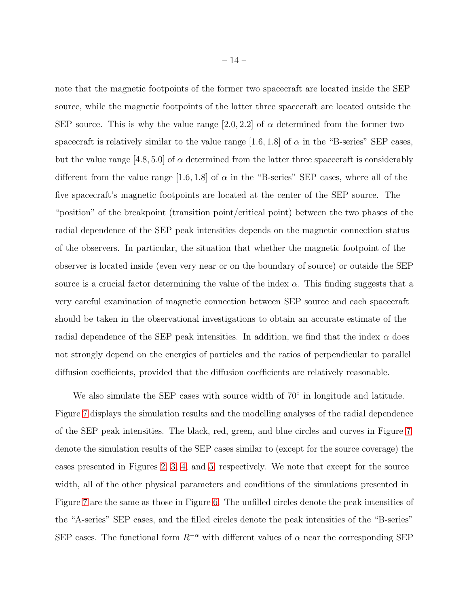note that the magnetic footpoints of the former two spacecraft are located inside the SEP source, while the magnetic footpoints of the latter three spacecraft are located outside the SEP source. This is why the value range [2.0, 2.2] of  $\alpha$  determined from the former two spacecraft is relatively similar to the value range [1.6, 1.8] of  $\alpha$  in the "B-series" SEP cases, but the value range  $[4.8, 5.0]$  of  $\alpha$  determined from the latter three spacecraft is considerably different from the value range [1.6, 1.8] of  $\alpha$  in the "B-series" SEP cases, where all of the five spacecraft's magnetic footpoints are located at the center of the SEP source. The "position" of the breakpoint (transition point/critical point) between the two phases of the radial dependence of the SEP peak intensities depends on the magnetic connection status of the observers. In particular, the situation that whether the magnetic footpoint of the observer is located inside (even very near or on the boundary of source) or outside the SEP source is a crucial factor determining the value of the index  $\alpha$ . This finding suggests that a very careful examination of magnetic connection between SEP source and each spacecraft should be taken in the observational investigations to obtain an accurate estimate of the radial dependence of the SEP peak intensities. In addition, we find that the index  $\alpha$  does not strongly depend on the energies of particles and the ratios of perpendicular to parallel diffusion coefficients, provided that the diffusion coefficients are relatively reasonable.

We also simulate the SEP cases with source width of 70° in longitude and latitude. Figure [7](#page-26-0) displays the simulation results and the modelling analyses of the radial dependence of the SEP peak intensities. The black, red, green, and blue circles and curves in Figure [7](#page-26-0) denote the simulation results of the SEP cases similar to (except for the source coverage) the cases presented in Figures [2,](#page-21-0) [3,](#page-22-0) [4,](#page-23-0) and [5,](#page-24-0) respectively. We note that except for the source width, all of the other physical parameters and conditions of the simulations presented in Figure [7](#page-26-0) are the same as those in Figure [6.](#page-25-0) The unfilled circles denote the peak intensities of the "A-series" SEP cases, and the filled circles denote the peak intensities of the "B-series" SEP cases. The functional form  $R^{-\alpha}$  with different values of  $\alpha$  near the corresponding SEP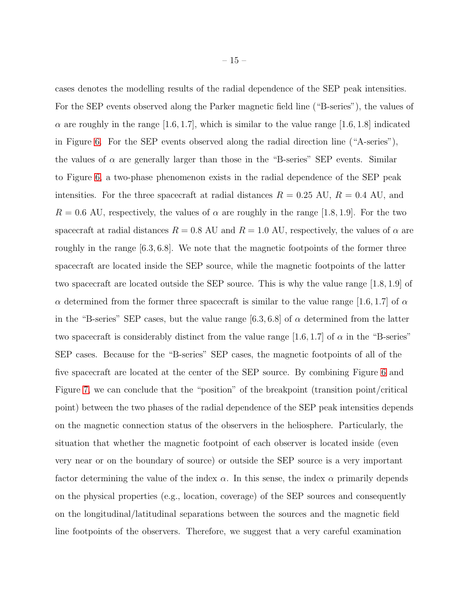cases denotes the modelling results of the radial dependence of the SEP peak intensities. For the SEP events observed along the Parker magnetic field line ("B-series"), the values of  $\alpha$  are roughly in the range [1.6, 1.7], which is similar to the value range [1.6, 1.8] indicated in Figure [6.](#page-25-0) For the SEP events observed along the radial direction line ("A-series"), the values of  $\alpha$  are generally larger than those in the "B-series" SEP events. Similar to Figure [6,](#page-25-0) a two-phase phenomenon exists in the radial dependence of the SEP peak intensities. For the three spacecraft at radial distances  $R = 0.25$  AU,  $R = 0.4$  AU, and  $R = 0.6$  AU, respectively, the values of  $\alpha$  are roughly in the range [1.8, 1.9]. For the two spacecraft at radial distances  $R = 0.8$  AU and  $R = 1.0$  AU, respectively, the values of  $\alpha$  are roughly in the range [6.3, 6.8]. We note that the magnetic footpoints of the former three spacecraft are located inside the SEP source, while the magnetic footpoints of the latter two spacecraft are located outside the SEP source. This is why the value range [1.8, 1.9] of α determined from the former three spacecraft is similar to the value range [1.6, 1.7] of α in the "B-series" SEP cases, but the value range  $[6.3, 6.8]$  of  $\alpha$  determined from the latter two spacecraft is considerably distinct from the value range [1.6, 1.7] of  $\alpha$  in the "B-series" SEP cases. Because for the "B-series" SEP cases, the magnetic footpoints of all of the five spacecraft are located at the center of the SEP source. By combining Figure [6](#page-25-0) and Figure [7,](#page-26-0) we can conclude that the "position" of the breakpoint (transition point/critical point) between the two phases of the radial dependence of the SEP peak intensities depends on the magnetic connection status of the observers in the heliosphere. Particularly, the situation that whether the magnetic footpoint of each observer is located inside (even very near or on the boundary of source) or outside the SEP source is a very important

factor determining the value of the index  $\alpha$ . In this sense, the index  $\alpha$  primarily depends on the physical properties (e.g., location, coverage) of the SEP sources and consequently on the longitudinal/latitudinal separations between the sources and the magnetic field line footpoints of the observers. Therefore, we suggest that a very careful examination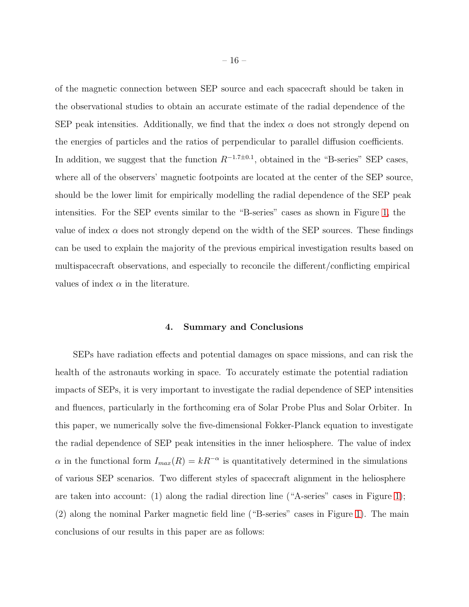of the magnetic connection between SEP source and each spacecraft should be taken in the observational studies to obtain an accurate estimate of the radial dependence of the SEP peak intensities. Additionally, we find that the index  $\alpha$  does not strongly depend on the energies of particles and the ratios of perpendicular to parallel diffusion coefficients. In addition, we suggest that the function  $R^{-1.7\pm0.1}$ , obtained in the "B-series" SEP cases, where all of the observers' magnetic footpoints are located at the center of the SEP source, should be the lower limit for empirically modelling the radial dependence of the SEP peak intensities. For the SEP events similar to the "B-series" cases as shown in Figure [1,](#page-20-0) the value of index  $\alpha$  does not strongly depend on the width of the SEP sources. These findings can be used to explain the majority of the previous empirical investigation results based on multispacecraft observations, and especially to reconcile the different/conflicting empirical values of index  $\alpha$  in the literature.

#### 4. Summary and Conclusions

SEPs have radiation effects and potential damages on space missions, and can risk the health of the astronauts working in space. To accurately estimate the potential radiation impacts of SEPs, it is very important to investigate the radial dependence of SEP intensities and fluences, particularly in the forthcoming era of Solar Probe Plus and Solar Orbiter. In this paper, we numerically solve the five-dimensional Fokker-Planck equation to investigate the radial dependence of SEP peak intensities in the inner heliosphere. The value of index  $\alpha$  in the functional form  $I_{max}(R) = kR^{-\alpha}$  is quantitatively determined in the simulations of various SEP scenarios. Two different styles of spacecraft alignment in the heliosphere are taken into account: (1) along the radial direction line ("A-series" cases in Figure [1\)](#page-20-0); (2) along the nominal Parker magnetic field line ("B-series" cases in Figure [1\)](#page-20-0). The main conclusions of our results in this paper are as follows: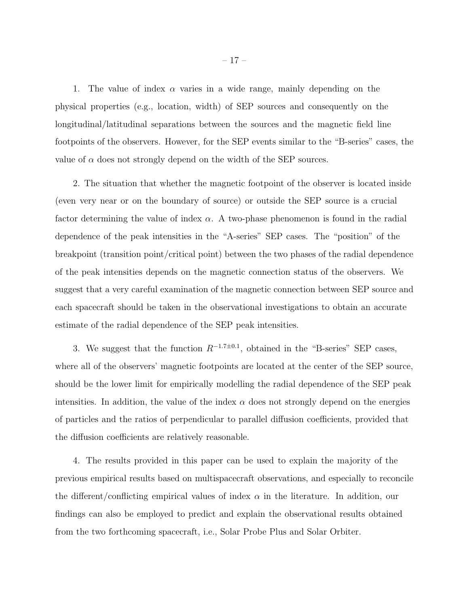1. The value of index  $\alpha$  varies in a wide range, mainly depending on the physical properties (e.g., location, width) of SEP sources and consequently on the longitudinal/latitudinal separations between the sources and the magnetic field line footpoints of the observers. However, for the SEP events similar to the "B-series" cases, the value of  $\alpha$  does not strongly depend on the width of the SEP sources.

2. The situation that whether the magnetic footpoint of the observer is located inside (even very near or on the boundary of source) or outside the SEP source is a crucial factor determining the value of index  $\alpha$ . A two-phase phenomenon is found in the radial dependence of the peak intensities in the "A-series" SEP cases. The "position" of the breakpoint (transition point/critical point) between the two phases of the radial dependence of the peak intensities depends on the magnetic connection status of the observers. We suggest that a very careful examination of the magnetic connection between SEP source and each spacecraft should be taken in the observational investigations to obtain an accurate estimate of the radial dependence of the SEP peak intensities.

3. We suggest that the function  $R^{-1.7\pm0.1}$ , obtained in the "B-series" SEP cases, where all of the observers' magnetic footpoints are located at the center of the SEP source, should be the lower limit for empirically modelling the radial dependence of the SEP peak intensities. In addition, the value of the index  $\alpha$  does not strongly depend on the energies of particles and the ratios of perpendicular to parallel diffusion coefficients, provided that the diffusion coefficients are relatively reasonable.

4. The results provided in this paper can be used to explain the majority of the previous empirical results based on multispacecraft observations, and especially to reconcile the different/conflicting empirical values of index  $\alpha$  in the literature. In addition, our findings can also be employed to predict and explain the observational results obtained from the two forthcoming spacecraft, i.e., Solar Probe Plus and Solar Orbiter.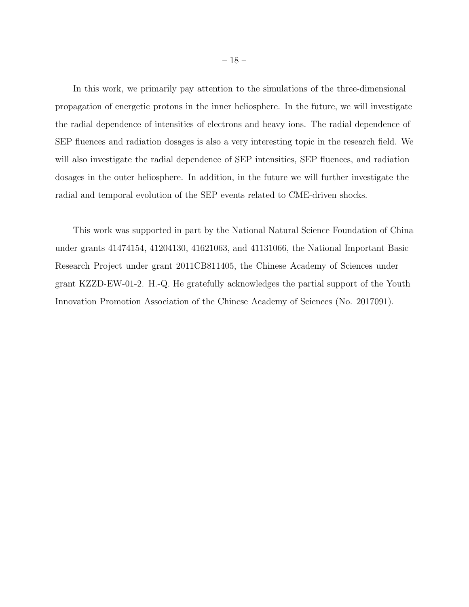In this work, we primarily pay attention to the simulations of the three-dimensional propagation of energetic protons in the inner heliosphere. In the future, we will investigate the radial dependence of intensities of electrons and heavy ions. The radial dependence of SEP fluences and radiation dosages is also a very interesting topic in the research field. We will also investigate the radial dependence of SEP intensities, SEP fluences, and radiation dosages in the outer heliosphere. In addition, in the future we will further investigate the radial and temporal evolution of the SEP events related to CME-driven shocks.

This work was supported in part by the National Natural Science Foundation of China under grants 41474154, 41204130, 41621063, and 41131066, the National Important Basic Research Project under grant 2011CB811405, the Chinese Academy of Sciences under grant KZZD-EW-01-2. H.-Q. He gratefully acknowledges the partial support of the Youth Innovation Promotion Association of the Chinese Academy of Sciences (No. 2017091).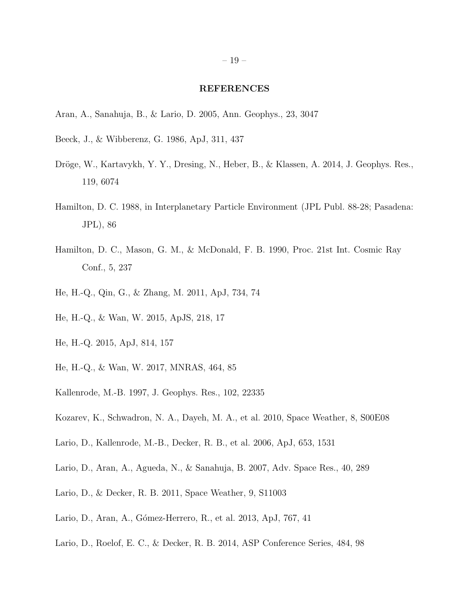#### REFERENCES

- <span id="page-18-4"></span>Aran, A., Sanahuja, B., & Lario, D. 2005, Ann. Geophys., 23, 3047
- <span id="page-18-14"></span>Beeck, J., & Wibberenz, G. 1986, ApJ, 311, 437
- <span id="page-18-13"></span>Dröge, W., Kartavykh, Y. Y., Dresing, N., Heber, B., & Klassen, A. 2014, J. Geophys. Res., 119, 6074
- <span id="page-18-0"></span>Hamilton, D. C. 1988, in Interplanetary Particle Environment (JPL Publ. 88-28; Pasadena: JPL), 86
- <span id="page-18-1"></span>Hamilton, D. C., Mason, G. M., & McDonald, F. B. 1990, Proc. 21st Int. Cosmic Ray Conf., 5, 237
- <span id="page-18-7"></span>He, H.-Q., Qin, G., & Zhang, M. 2011, ApJ, 734, 74
- <span id="page-18-8"></span>He, H.-Q., & Wan, W. 2015, ApJS, 218, 17
- <span id="page-18-12"></span>He, H.-Q. 2015, ApJ, 814, 157
- <span id="page-18-9"></span>He, H.-Q., & Wan, W. 2017, MNRAS, 464, 85
- <span id="page-18-2"></span>Kallenrode, M.-B. 1997, J. Geophys. Res., 102, 22335
- <span id="page-18-6"></span>Kozarev, K., Schwadron, N. A., Dayeh, M. A., et al. 2010, Space Weather, 8, S00E08
- <span id="page-18-3"></span>Lario, D., Kallenrode, M.-B., Decker, R. B., et al. 2006, ApJ, 653, 1531
- <span id="page-18-5"></span>Lario, D., Aran, A., Agueda, N., & Sanahuja, B. 2007, Adv. Space Res., 40, 289
- <span id="page-18-10"></span>Lario, D., & Decker, R. B. 2011, Space Weather, 9, S11003
- <span id="page-18-11"></span>Lario, D., Aran, A., Gómez-Herrero, R., et al. 2013, ApJ, 767, 41
- <span id="page-18-15"></span>Lario, D., Roelof, E. C., & Decker, R. B. 2014, ASP Conference Series, 484, 98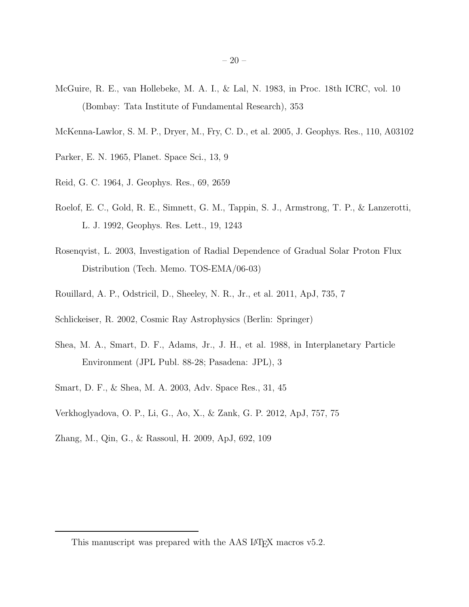- <span id="page-19-0"></span>McGuire, R. E., van Hollebeke, M. A. I., & Lal, N. 1983, in Proc. 18th ICRC, vol. 10 (Bombay: Tata Institute of Fundamental Research), 353
- <span id="page-19-5"></span>McKenna-Lawlor, S. M. P., Dryer, M., Fry, C. D., et al. 2005, J. Geophys. Res., 110, A03102
- <span id="page-19-1"></span>Parker, E. N. 1965, Planet. Space Sci., 13, 9
- <span id="page-19-10"></span>Reid, G. C. 1964, J. Geophys. Res., 69, 2659
- <span id="page-19-11"></span>Roelof, E. C., Gold, R. E., Simnett, G. M., Tappin, S. J., Armstrong, T. P., & Lanzerotti, L. J. 1992, Geophys. Res. Lett., 19, 1243
- <span id="page-19-4"></span>Rosenqvist, L. 2003, Investigation of Radial Dependence of Gradual Solar Proton Flux Distribution (Tech. Memo. TOS-EMA/06-03)
- <span id="page-19-6"></span>Rouillard, A. P., Odstricil, D., Sheeley, N. R., Jr., et al. 2011, ApJ, 735, 7
- <span id="page-19-8"></span>Schlickeiser, R. 2002, Cosmic Ray Astrophysics (Berlin: Springer)
- <span id="page-19-2"></span>Shea, M. A., Smart, D. F., Adams, Jr., J. H., et al. 1988, in Interplanetary Particle Environment (JPL Publ. 88-28; Pasadena: JPL), 3
- <span id="page-19-3"></span>Smart, D. F., & Shea, M. A. 2003, Adv. Space Res., 31, 45
- <span id="page-19-7"></span>Verkhoglyadova, O. P., Li, G., Ao, X., & Zank, G. P. 2012, ApJ, 757, 75
- <span id="page-19-9"></span>Zhang, M., Qin, G., & Rassoul, H. 2009, ApJ, 692, 109

This manuscript was prepared with the AAS IATEX macros v5.2.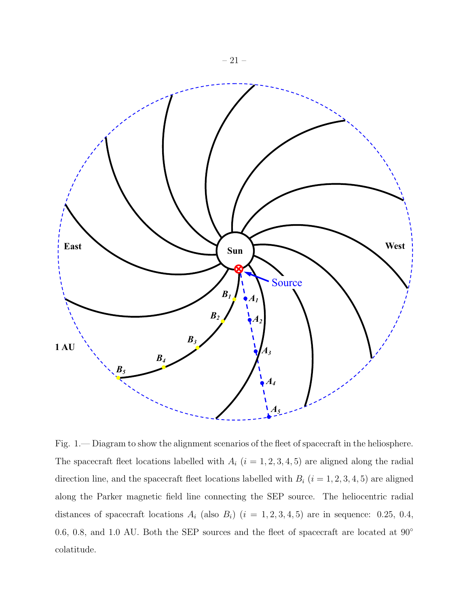

<span id="page-20-0"></span>Fig. 1.— Diagram to show the alignment scenarios of the fleet of spacecraft in the heliosphere. The spacecraft fleet locations labelled with  $A_i$   $(i = 1, 2, 3, 4, 5)$  are aligned along the radial direction line, and the spacecraft fleet locations labelled with  $B_i$   $(i = 1, 2, 3, 4, 5)$  are aligned along the Parker magnetic field line connecting the SEP source. The heliocentric radial distances of spacecraft locations  $A_i$  (also  $B_i$ )  $(i = 1, 2, 3, 4, 5)$  are in sequence: 0.25, 0.4, 0.6, 0.8, and 1.0 AU. Both the SEP sources and the fleet of spacecraft are located at 90◦ colatitude.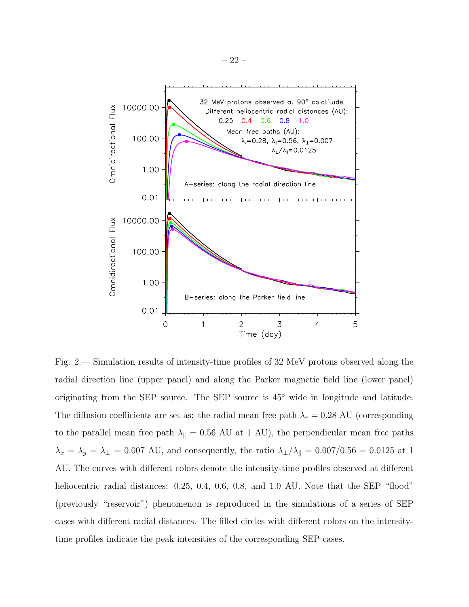

<span id="page-21-0"></span>Fig. 2.— Simulation results of intensity-time profiles of 32 MeV protons observed along the radial direction line (upper panel) and along the Parker magnetic field line (lower panel) originating from the SEP source. The SEP source is 45◦ wide in longitude and latitude. The diffusion coefficients are set as: the radial mean free path  $\lambda_r = 0.28$  AU (corresponding to the parallel mean free path  $\lambda_{\parallel} = 0.56$  AU at 1 AU), the perpendicular mean free paths  $\lambda_x = \lambda_y = \lambda_\perp = 0.007$  AU, and consequently, the ratio  $\lambda_\perp/\lambda_\parallel = 0.007/0.56 = 0.0125$  at 1 AU. The curves with different colors denote the intensity-time profiles observed at different heliocentric radial distances: 0.25, 0.4, 0.6, 0.8, and 1.0 AU. Note that the SEP "flood" (previously "reservoir") phenomenon is reproduced in the simulations of a series of SEP cases with different radial distances. The filled circles with different colors on the intensitytime profiles indicate the peak intensities of the corresponding SEP cases.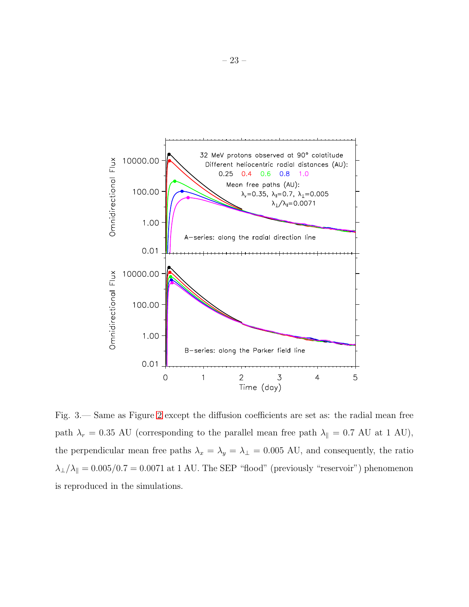

<span id="page-22-0"></span>Fig. 3.— Same as Figure [2](#page-21-0) except the diffusion coefficients are set as: the radial mean free path  $\lambda_r = 0.35$  AU (corresponding to the parallel mean free path  $\lambda_{\parallel} = 0.7$  AU at 1 AU), the perpendicular mean free paths  $\lambda_x = \lambda_y = \lambda_\perp = 0.005$  AU, and consequently, the ratio  $\lambda_{\perp}/\lambda_{\parallel} = 0.005/0.7 = 0.0071$  at 1 AU. The SEP "flood" (previously "reservoir") phenomenon is reproduced in the simulations.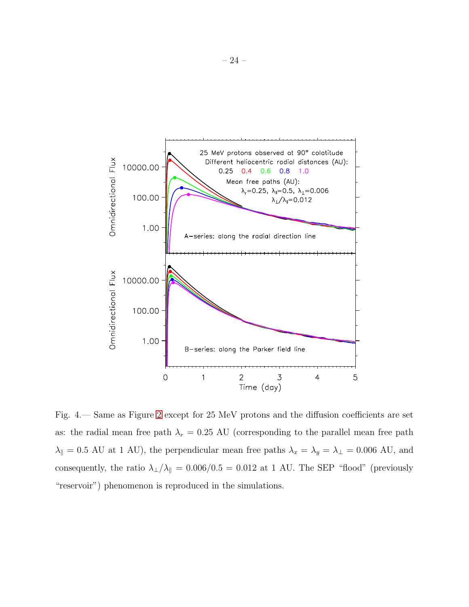

<span id="page-23-0"></span>Fig. 4.— Same as Figure [2](#page-21-0) except for 25 MeV protons and the diffusion coefficients are set as: the radial mean free path  $\lambda_r = 0.25$  AU (corresponding to the parallel mean free path  $\lambda_{\parallel} = 0.5$  AU at 1 AU), the perpendicular mean free paths  $\lambda_x = \lambda_y = \lambda_{\perp} = 0.006$  AU, and consequently, the ratio  $\lambda_{\perp}/\lambda_{\parallel} = 0.006/0.5 = 0.012$  at 1 AU. The SEP "flood" (previously "reservoir") phenomenon is reproduced in the simulations.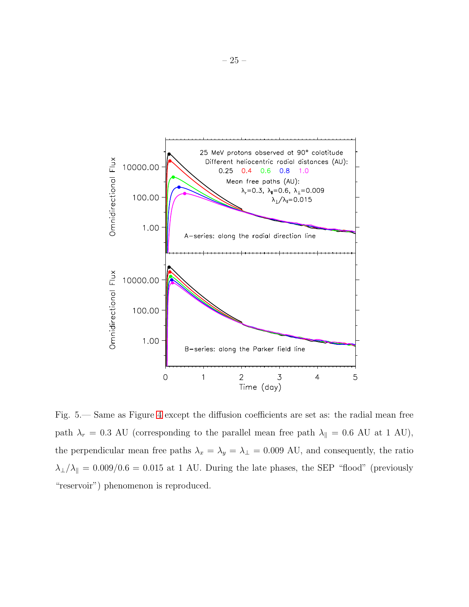

<span id="page-24-0"></span>Fig. 5.— Same as Figure [4](#page-23-0) except the diffusion coefficients are set as: the radial mean free path  $\lambda_r = 0.3$  AU (corresponding to the parallel mean free path  $\lambda_{\parallel} = 0.6$  AU at 1 AU), the perpendicular mean free paths  $\lambda_x = \lambda_y = \lambda_\perp = 0.009$  AU, and consequently, the ratio  $\lambda_{\perp}/\lambda_{\parallel} = 0.009/0.6 = 0.015$  at 1 AU. During the late phases, the SEP "flood" (previously "reservoir") phenomenon is reproduced.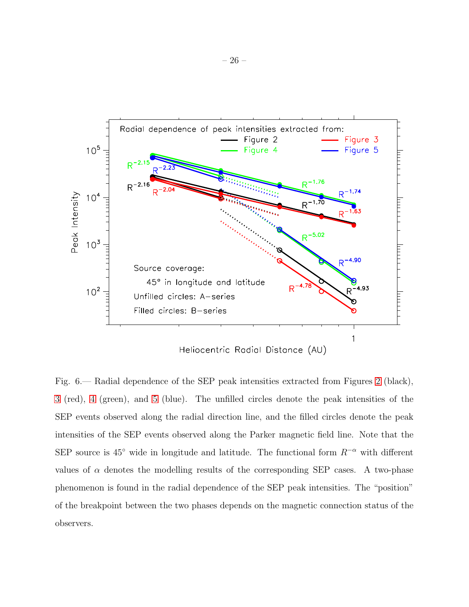

<span id="page-25-0"></span>Fig. 6.— Radial dependence of the SEP peak intensities extracted from Figures [2](#page-21-0) (black), [3](#page-22-0) (red), [4](#page-23-0) (green), and [5](#page-24-0) (blue). The unfilled circles denote the peak intensities of the SEP events observed along the radial direction line, and the filled circles denote the peak intensities of the SEP events observed along the Parker magnetic field line. Note that the SEP source is 45° wide in longitude and latitude. The functional form  $R^{-\alpha}$  with different values of  $\alpha$  denotes the modelling results of the corresponding SEP cases. A two-phase phenomenon is found in the radial dependence of the SEP peak intensities. The "position" of the breakpoint between the two phases depends on the magnetic connection status of the observers.